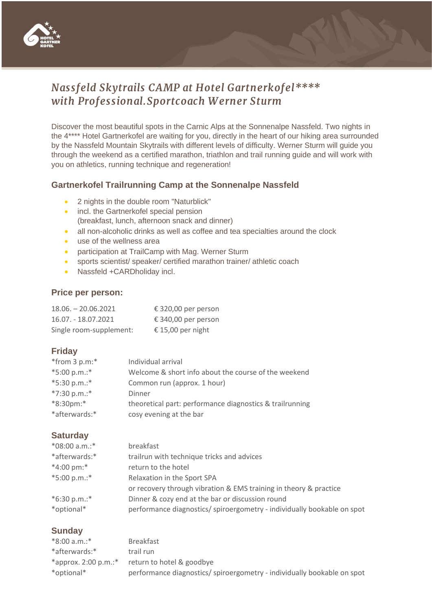

# *Nassfeld Skytrails CAMP at Hotel Gartnerkofel\*\*\*\* with Professional.Sportcoach W erner Sturm*

Discover the most beautiful spots in the Carnic Alps at the Sonnenalpe Nassfeld. Two nights in the 4\*\*\*\* Hotel Gartnerkofel are waiting for you, directly in the heart of our hiking area surrounded by the Nassfeld Mountain Skytrails with different levels of difficulty. Werner Sturm will guide you through the weekend as a certified marathon, triathlon and trail running guide and will work with you on athletics, running technique and regeneration!

## **Gartnerkofel Trailrunning Camp at the Sonnenalpe Nassfeld**

- 2 nights in the double room "Naturblick"
- incl. the Gartnerkofel special pension (breakfast, lunch, afternoon snack and dinner)
- all non-alcoholic drinks as well as coffee and tea specialties around the clock
- use of the wellness area
- participation at TrailCamp with Mag. Werner Sturm
- sports scientist/ speaker/ certified marathon trainer/ athletic coach
- Nassfeld +CARDholiday incl.

#### **Price per person:**

| $18.06 - 20.06.2021$    | € 320,00 per person |
|-------------------------|---------------------|
| 16.07. - 18.07.2021     | € 340,00 per person |
| Single room-supplement: | € 15,00 per night   |

## **Friday**

| $*$ from 3 p.m: $*$ | Individual arrival                                       |
|---------------------|----------------------------------------------------------|
| $*5:00 p.m.$ :*     | Welcome & short info about the course of the weekend     |
| *5:30 p.m.:*        | Common run (approx. 1 hour)                              |
| $*7:30 p.m.$ :*     | Dinner                                                   |
| *8:30pm:*           | theoretical part: performance diagnostics & trailrunning |
| *afterwards:*       | cosy evening at the bar                                  |

#### **Saturday**

| *08:00 a.m.:*       | breakfast                                                               |
|---------------------|-------------------------------------------------------------------------|
| *afterwards:*       | trailrun with technique tricks and advices                              |
| $*4:00 \text{ pm}:$ | return to the hotel                                                     |
| $*5:00 p.m.$ :*     | Relaxation in the Sport SPA                                             |
|                     | or recovery through vibration & EMS training in theory & practice       |
| $*6:30 p.m.$ :*     | Dinner & cozy end at the bar or discussion round                        |
| *optional*          | performance diagnostics/ spiroergometry - individually bookable on spot |
|                     |                                                                         |

## **Sunday**

| <b>Breakfast</b>                                                        |
|-------------------------------------------------------------------------|
| trail run                                                               |
| return to hotel & goodbye                                               |
| performance diagnostics/ spiroergometry - individually bookable on spot |
|                                                                         |